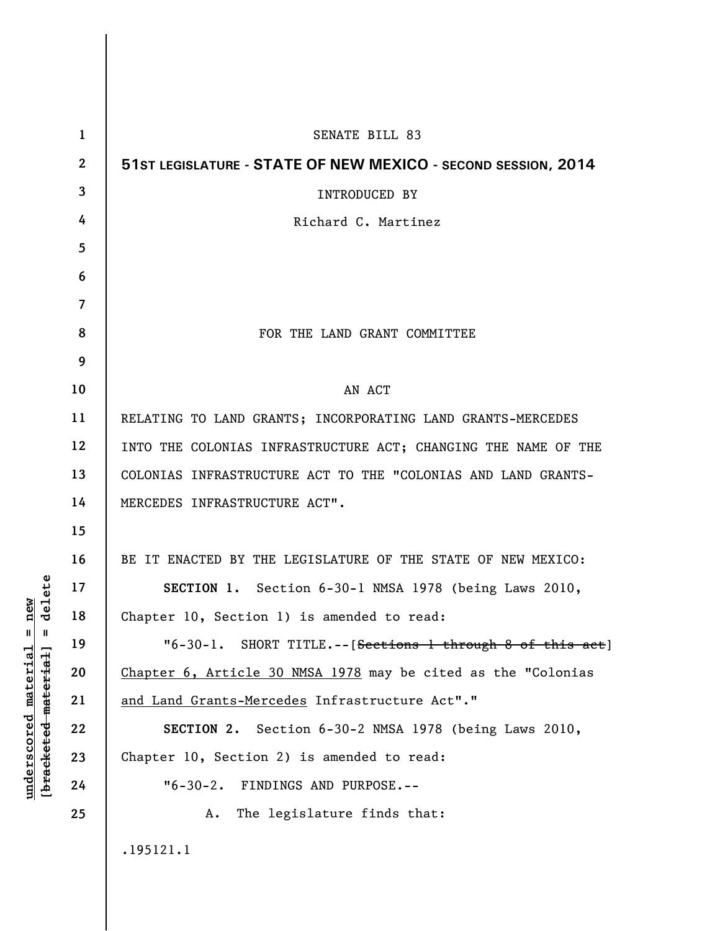| $\mathbf{1}$   | SENATE BILL 83                                                         |
|----------------|------------------------------------------------------------------------|
| $\mathbf{2}$   | 51ST LEGISLATURE - STATE OF NEW MEXICO - SECOND SESSION, 2014          |
| 3              | INTRODUCED BY                                                          |
| 4              | Richard C. Martinez                                                    |
| 5              |                                                                        |
| 6              |                                                                        |
| $\overline{7}$ |                                                                        |
| 8              | FOR THE LAND GRANT COMMITTEE                                           |
| 9              |                                                                        |
| 10             | AN ACT                                                                 |
| 11             | RELATING TO LAND GRANTS; INCORPORATING LAND GRANTS-MERCEDES            |
| 12             | INTO THE COLONIAS INFRASTRUCTURE ACT; CHANGING THE NAME OF THE         |
| 13             | COLONIAS INFRASTRUCTURE ACT TO THE "COLONIAS AND LAND GRANTS-          |
| 14             | MERCEDES INFRASTRUCTURE ACT".                                          |
| 15             |                                                                        |
| 16             | BE IT ENACTED BY THE LEGISLATURE OF THE STATE OF NEW MEXICO:           |
| 17             | SECTION 1. Section 6-30-1 NMSA 1978 (being Laws 2010,                  |
| 18             | Chapter 10, Section 1) is amended to read:                             |
| 19             | "6-30-1. SHORT TITLE.--[ <del>Sections 1 through 8 of this act</del> ] |
| 20             | Chapter 6, Article 30 NMSA 1978 may be cited as the "Colonias          |
| 21             | and Land Grants-Mercedes Infrastructure Act"."                         |
| 22             | SECTION 2. Section 6-30-2 NMSA 1978 (being Laws 2010,                  |
| 23             | Chapter 10, Section 2) is amended to read:                             |
| 24             | "6-30-2. FINDINGS AND PURPOSE.--                                       |
| 25             | The legislature finds that:<br>A.                                      |
|                | .195121.1                                                              |

**underscored material = new [bracketed material] = delete**

 $[bracketeed-materiat] = delete$  $underscored material = new$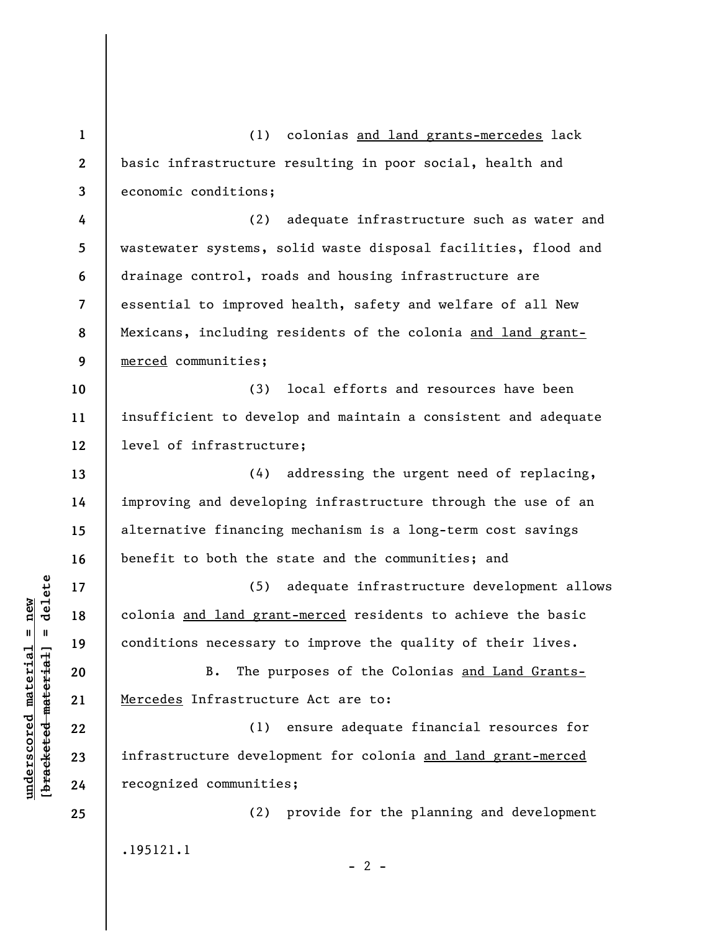**1 2 3 4 5 6 7 8 9 10 11 12 13 14 15 16 17 18 19 20 21 22 23 24 25**  (1) colonias and land grants-mercedes lack basic infrastructure resulting in poor social, health and economic conditions; (2) adequate infrastructure such as water and wastewater systems, solid waste disposal facilities, flood and drainage control, roads and housing infrastructure are essential to improved health, safety and welfare of all New Mexicans, including residents of the colonia and land grantmerced communities; (3) local efforts and resources have been insufficient to develop and maintain a consistent and adequate level of infrastructure; (4) addressing the urgent need of replacing, improving and developing infrastructure through the use of an alternative financing mechanism is a long-term cost savings benefit to both the state and the communities; and (5) adequate infrastructure development allows colonia and land grant-merced residents to achieve the basic conditions necessary to improve the quality of their lives. B. The purposes of the Colonias and Land Grants-Mercedes Infrastructure Act are to: (1) ensure adequate financial resources for infrastructure development for colonia and land grant-merced recognized communities; (2) provide for the planning and development .195121.1  $- 2 -$ 

**underscored material = new [bracketed material] = delete**

 $\frac{1}{2}$  intereted material = delete  $underscored material = new$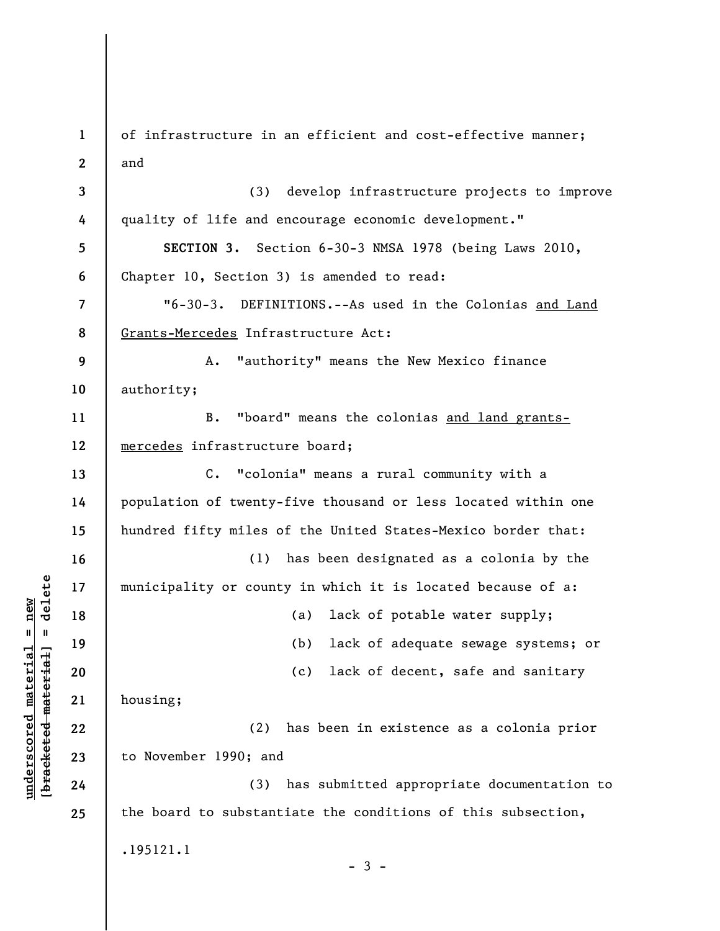**1 2 3 4 5 6 7 8 9 10 11 12 13 14 15 16 17 18 19 20 21 22 23 24 25**  of infrastructure in an efficient and cost-effective manner; and (3) develop infrastructure projects to improve quality of life and encourage economic development." **SECTION 3.** Section 6-30-3 NMSA 1978 (being Laws 2010, Chapter 10, Section 3) is amended to read: "6-30-3. DEFINITIONS.--As used in the Colonias and Land Grants-Mercedes Infrastructure Act: A. "authority" means the New Mexico finance authority; B. "board" means the colonias and land grantsmercedes infrastructure board; C. "colonia" means a rural community with a population of twenty-five thousand or less located within one hundred fifty miles of the United States-Mexico border that: (1) has been designated as a colonia by the municipality or county in which it is located because of a: (a) lack of potable water supply; (b) lack of adequate sewage systems; or (c) lack of decent, safe and sanitary housing; (2) has been in existence as a colonia prior to November 1990; and (3) has submitted appropriate documentation to the board to substantiate the conditions of this subsection, .195121.1  $-3 -$ 

**underscored material = new [bracketed material] = delete**

 $b$ racketed material] = delete  $underscored material = new$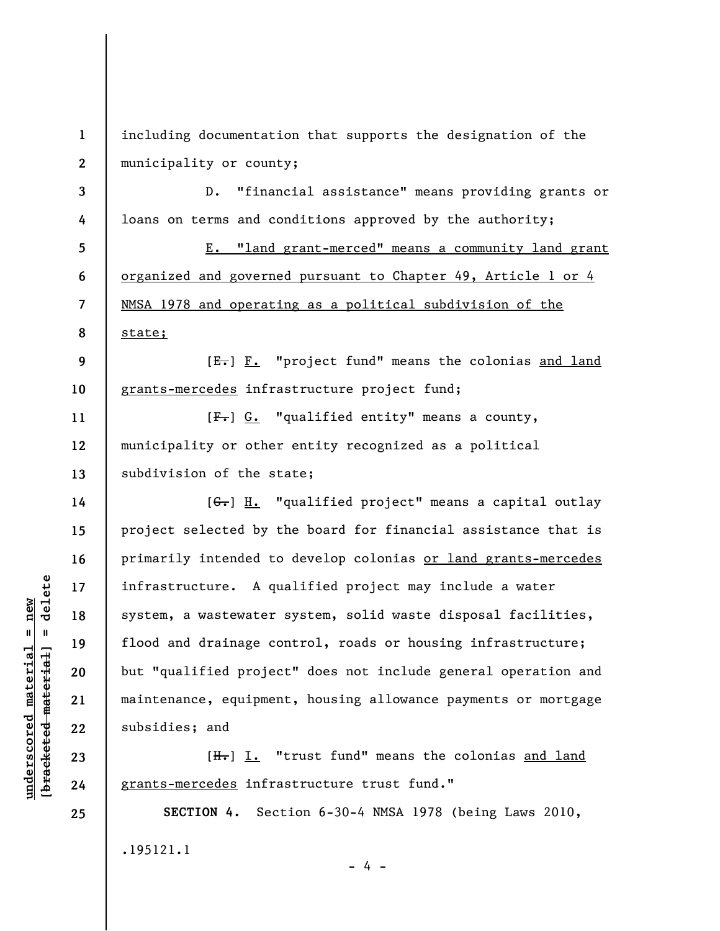**1 2**  including documentation that supports the designation of the municipality or county;

**3 4**  D. "financial assistance" means providing grants or loans on terms and conditions approved by the authority;

**5 6 7 8**  E. "land grant-merced" means a community land grant organized and governed pursuant to Chapter 49, Article 1 or 4 NMSA 1978 and operating as a political subdivision of the state;

**9 10**   $[E-]$   $F.$  "project fund" means the colonias and land grants-mercedes infrastructure project fund;

**11 12 13**  [F.] G. "qualified entity" means a county, municipality or other entity recognized as a political subdivision of the state;

[G.] H. "qualified project" means a capital outlay project selected by the board for financial assistance that is primarily intended to develop colonias or land grants-mercedes infrastructure. A qualified project may include a water system, a wastewater system, solid waste disposal facilities, flood and drainage control, roads or housing infrastructure; but "qualified project" does not include general operation and maintenance, equipment, housing allowance payments or mortgage subsidies; and

[H.] I. "trust fund" means the colonias and land grants-mercedes infrastructure trust fund."

**SECTION 4.** Section 6-30-4 NMSA 1978 (being Laws 2010, .195121.1 - 4 -

 $\frac{1}{2}$  intereted material = delete **[bracketed material] = delete**  $underscored material = new$ **underscored material = new**

**14** 

**15** 

**16** 

**17** 

**18** 

**19** 

**20** 

**21** 

**22** 

**23** 

**24** 

**25**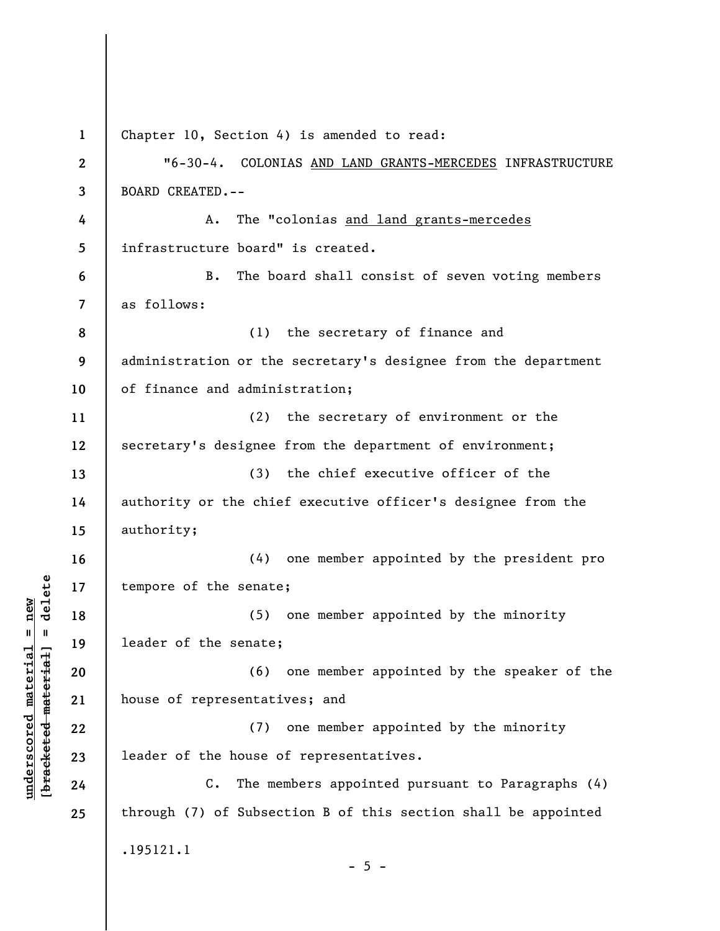| $\mathbf{1}$   | Chapter 10, Section 4) is amended to read:                     |
|----------------|----------------------------------------------------------------|
| $\overline{2}$ | "6-30-4. COLONIAS AND LAND GRANTS-MERCEDES INFRASTRUCTURE      |
| 3              | <b>BOARD CREATED.--</b>                                        |
| 4              | The "colonias and land grants-mercedes<br>Α.                   |
| 5              | infrastructure board" is created.                              |
| 6              | The board shall consist of seven voting members<br>В.          |
| $\overline{7}$ | as follows:                                                    |
| 8              | (1)<br>the secretary of finance and                            |
| 9              | administration or the secretary's designee from the department |
| 10             | of finance and administration;                                 |
| 11             | (2)<br>the secretary of environment or the                     |
| 12             | secretary's designee from the department of environment;       |
| 13             | (3)<br>the chief executive officer of the                      |
| 14             | authority or the chief executive officer's designee from the   |
| 15             | authority;                                                     |
| 16             | one member appointed by the president pro<br>(4)               |
| 17             | tempore of the senate;                                         |
| 18             | one member appointed by the minority<br>(5)                    |
| 19             | leader of the senate;                                          |
| 20             | one member appointed by the speaker of the<br>(6)              |
| 21             | house of representatives; and                                  |
| 22             | one member appointed by the minority<br>(7)                    |
| 23             | leader of the house of representatives.                        |
| 24             | $C$ .<br>The members appointed pursuant to Paragraphs (4)      |
| 25             | through (7) of Subsection B of this section shall be appointed |
|                | .195121.1<br>$-5 -$                                            |

**underscored material = new [bracketed material] = delete**

 $[**bracket eted metert et**] = **del et e**$  $underscored material = new$ 

 $\overline{\phantom{a}}$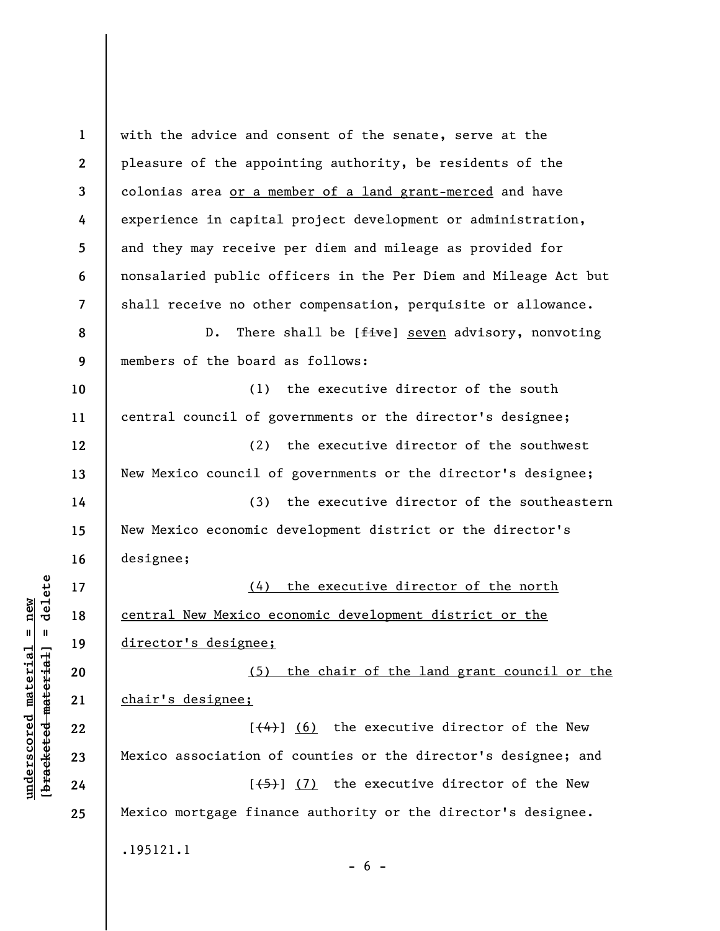**1 2 3 4 5 6 7 8 9 10 11 12 13 14 15 16 17 18 19 20 21 22 23 24 25**  with the advice and consent of the senate, serve at the pleasure of the appointing authority, be residents of the colonias area or a member of a land grant-merced and have experience in capital project development or administration, and they may receive per diem and mileage as provided for nonsalaried public officers in the Per Diem and Mileage Act but shall receive no other compensation, perquisite or allowance. D. There shall be [five] seven advisory, nonvoting members of the board as follows: (1) the executive director of the south central council of governments or the director's designee; (2) the executive director of the southwest New Mexico council of governments or the director's designee; (3) the executive director of the southeastern New Mexico economic development district or the director's designee; (4) the executive director of the north central New Mexico economic development district or the director's designee; (5) the chair of the land grant council or the chair's designee;  $[$ (4)] (6) the executive director of the New Mexico association of counties or the director's designee; and  $[$ (5)] (7) the executive director of the New Mexico mortgage finance authority or the director's designee. .195121.1  $- 6 -$ 

 $\frac{1}{2}$  of  $\frac{1}{2}$  and  $\frac{1}{2}$  and  $\frac{1}{2}$  and  $\frac{1}{2}$  and  $\frac{1}{2}$  and  $\frac{1}{2}$  and  $\frac{1}{2}$  and  $\frac{1}{2}$  and  $\frac{1}{2}$  and  $\frac{1}{2}$  and  $\frac{1}{2}$  and  $\frac{1}{2}$  and  $\frac{1}{2}$  and  $\frac{1}{2}$  and  $\frac{1}{2}$  an **[bracketed material] = delete**  $underscored material = new$ **underscored material = new**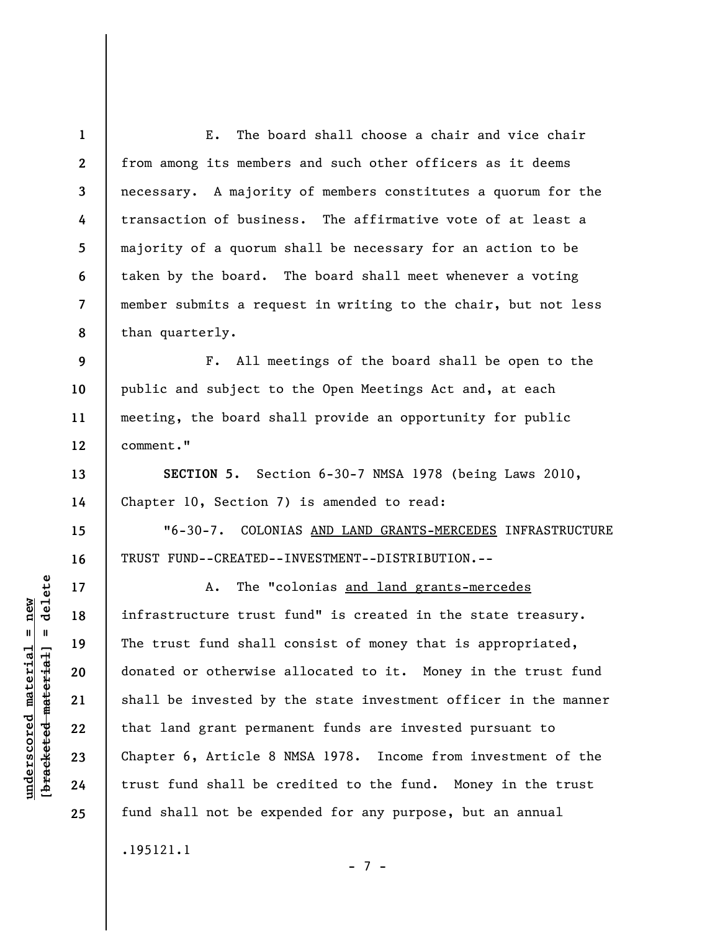**1 2 3 4 5 6 7 8**  E. The board shall choose a chair and vice chair from among its members and such other officers as it deems necessary. A majority of members constitutes a quorum for the transaction of business. The affirmative vote of at least a majority of a quorum shall be necessary for an action to be taken by the board. The board shall meet whenever a voting member submits a request in writing to the chair, but not less than quarterly.

**9 10 11 12**  F. All meetings of the board shall be open to the public and subject to the Open Meetings Act and, at each meeting, the board shall provide an opportunity for public comment."

**SECTION 5.** Section 6-30-7 NMSA 1978 (being Laws 2010, Chapter 10, Section 7) is amended to read:

"6-30-7. COLONIAS AND LAND GRANTS-MERCEDES INFRASTRUCTURE TRUST FUND--CREATED--INVESTMENT--DISTRIBUTION.--

A. The "colonias and land grants-mercedes infrastructure trust fund" is created in the state treasury. The trust fund shall consist of money that is appropriated, donated or otherwise allocated to it. Money in the trust fund shall be invested by the state investment officer in the manner that land grant permanent funds are invested pursuant to Chapter 6, Article 8 NMSA 1978. Income from investment of the trust fund shall be credited to the fund. Money in the trust fund shall not be expended for any purpose, but an annual

- 7 -

.195121.1

 $\frac{1}{2}$  of  $\frac{1}{2}$  and  $\frac{1}{2}$  and  $\frac{1}{2}$  and  $\frac{1}{2}$  and  $\frac{1}{2}$  and  $\frac{1}{2}$  and  $\frac{1}{2}$  and  $\frac{1}{2}$  and  $\frac{1}{2}$  and  $\frac{1}{2}$  and  $\frac{1}{2}$  and  $\frac{1}{2}$  and  $\frac{1}{2}$  and  $\frac{1}{2}$  and  $\frac{1}{2}$  an **[bracketed material] = delete**  $underscored material = new$ **underscored material = new**

**13** 

**14** 

**15** 

**16** 

**17** 

**18** 

**19** 

**20** 

**21** 

**22** 

**23** 

**24** 

**25**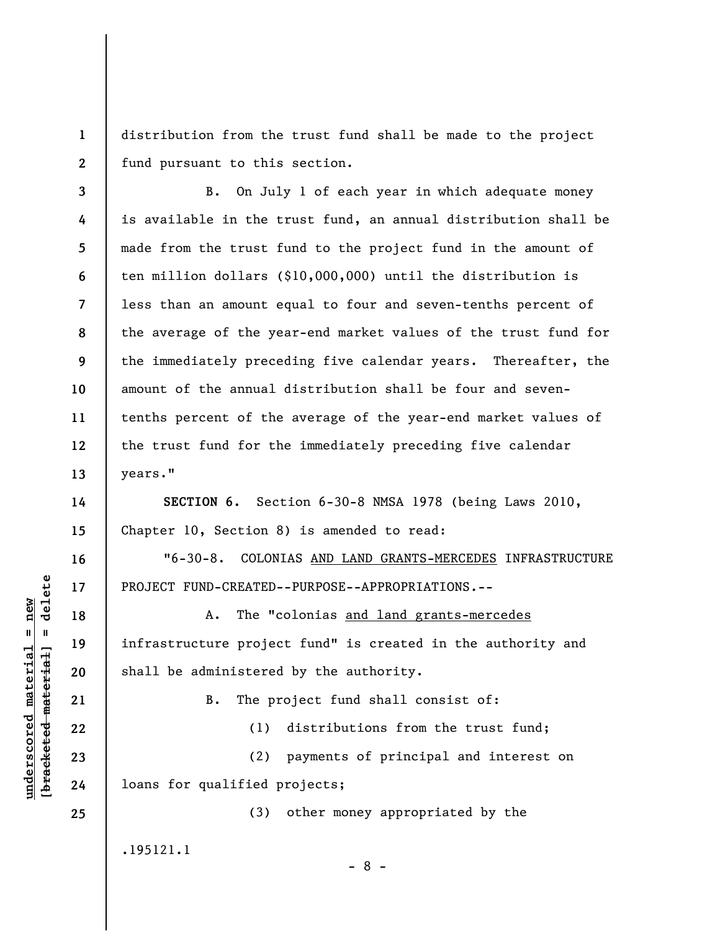**1 2**  distribution from the trust fund shall be made to the project fund pursuant to this section.

**3 4 5 6 7 8 9 10 11 12 13**  B. On July 1 of each year in which adequate money is available in the trust fund, an annual distribution shall be made from the trust fund to the project fund in the amount of ten million dollars (\$10,000,000) until the distribution is less than an amount equal to four and seven-tenths percent of the average of the year-end market values of the trust fund for the immediately preceding five calendar years. Thereafter, the amount of the annual distribution shall be four and seventenths percent of the average of the year-end market values of the trust fund for the immediately preceding five calendar years."

**SECTION 6.** Section 6-30-8 NMSA 1978 (being Laws 2010, Chapter 10, Section 8) is amended to read:

"6-30-8. COLONIAS AND LAND GRANTS-MERCEDES INFRASTRUCTURE PROJECT FUND-CREATED--PURPOSE--APPROPRIATIONS.--

A. The "colonias and land grants-mercedes infrastructure project fund" is created in the authority and shall be administered by the authority.

B. The project fund shall consist of:

**23** 

**14** 

**15** 

**16** 

**17** 

**18** 

**19** 

**20** 

**21** 

**22** 

**24** 

**25** 

**underscored material = new [bracketed material] = delete**

 $\frac{1}{2}$  of  $\frac{1}{2}$  and  $\frac{1}{2}$  and  $\frac{1}{2}$  and  $\frac{1}{2}$  and  $\frac{1}{2}$  and  $\frac{1}{2}$  and  $\frac{1}{2}$  and  $\frac{1}{2}$  and  $\frac{1}{2}$  and  $\frac{1}{2}$  and  $\frac{1}{2}$  and  $\frac{1}{2}$  and  $\frac{1}{2}$  and  $\frac{1}{2}$  and  $\frac{1}{2}$  an  $underscored$  material = new

(1) distributions from the trust fund;

(2) payments of principal and interest on loans for qualified projects;

(3) other money appropriated by the

.195121.1

- 8 -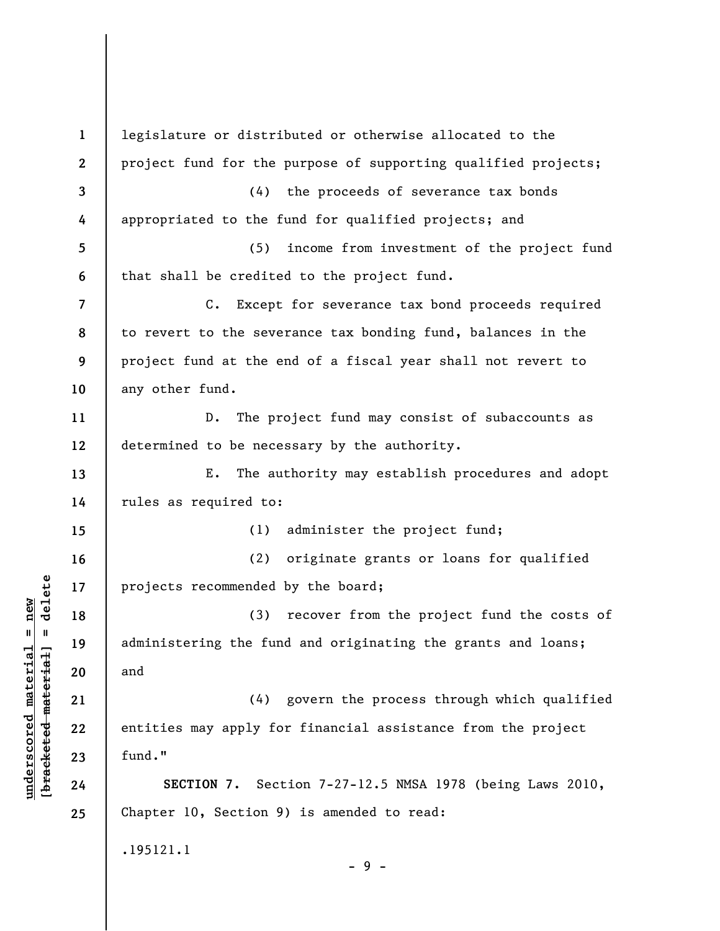**1 2 3 4 5 6 7 8 9 10 11 12 13 14 15 16 17 18 19 20 21 22 23 24 25**  legislature or distributed or otherwise allocated to the project fund for the purpose of supporting qualified projects; (4) the proceeds of severance tax bonds appropriated to the fund for qualified projects; and (5) income from investment of the project fund that shall be credited to the project fund. C. Except for severance tax bond proceeds required to revert to the severance tax bonding fund, balances in the project fund at the end of a fiscal year shall not revert to any other fund. D. The project fund may consist of subaccounts as determined to be necessary by the authority. E. The authority may establish procedures and adopt rules as required to: (1) administer the project fund; (2) originate grants or loans for qualified projects recommended by the board; (3) recover from the project fund the costs of administering the fund and originating the grants and loans; and (4) govern the process through which qualified entities may apply for financial assistance from the project fund." **SECTION 7.** Section 7-27-12.5 NMSA 1978 (being Laws 2010, Chapter 10, Section 9) is amended to read: .195121.1 - 9 -

**underscored material = new [bracketed material] = delete**

 $\frac{1}{2}$  intereted material = delete  $underscored material = new$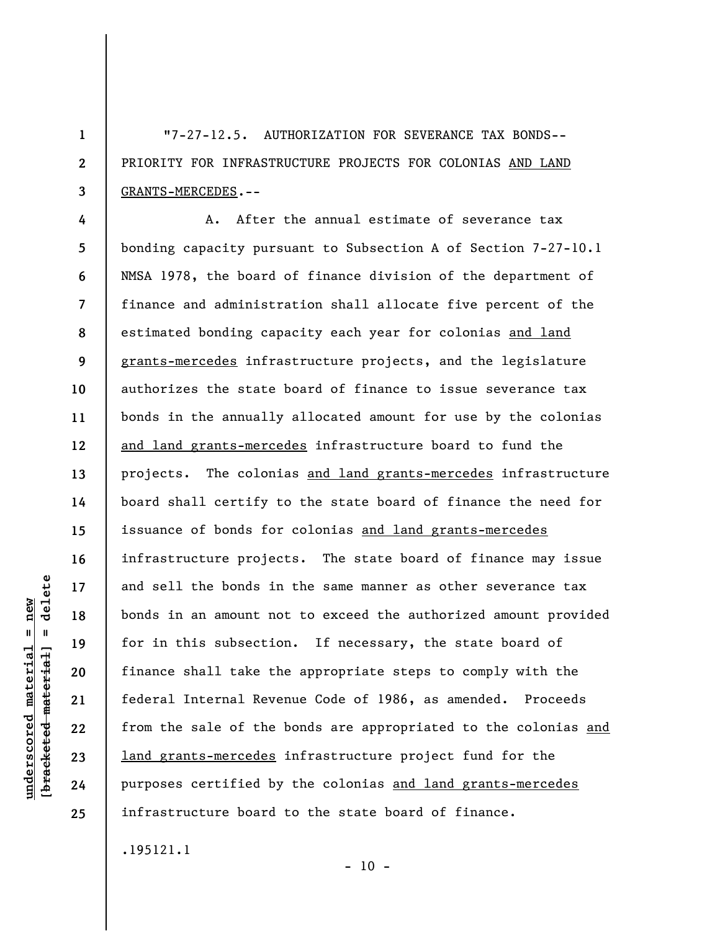"7-27-12.5. AUTHORIZATION FOR SEVERANCE TAX BONDS-- PRIORITY FOR INFRASTRUCTURE PROJECTS FOR COLONIAS AND LAND GRANTS-MERCEDES.--

**4 5 6 7 8 9 10 11 12 13 14 15 16 17 18 19 20 21 22 23 24 25**  A. After the annual estimate of severance tax bonding capacity pursuant to Subsection A of Section 7-27-10.1 NMSA 1978, the board of finance division of the department of finance and administration shall allocate five percent of the estimated bonding capacity each year for colonias and land grants-mercedes infrastructure projects, and the legislature authorizes the state board of finance to issue severance tax bonds in the annually allocated amount for use by the colonias and land grants-mercedes infrastructure board to fund the projects. The colonias and land grants-mercedes infrastructure board shall certify to the state board of finance the need for issuance of bonds for colonias and land grants-mercedes infrastructure projects. The state board of finance may issue and sell the bonds in the same manner as other severance tax bonds in an amount not to exceed the authorized amount provided for in this subsection. If necessary, the state board of finance shall take the appropriate steps to comply with the federal Internal Revenue Code of 1986, as amended. Proceeds from the sale of the bonds are appropriated to the colonias and land grants-mercedes infrastructure project fund for the purposes certified by the colonias and land grants-mercedes infrastructure board to the state board of finance.

.195121.1

**underscored material = new [bracketed material] = delete**

 $underscored material = new$ 

delete

 $\mathbf{I}$ 

bracketed material

**1** 

**2** 

**3** 

 $- 10 -$